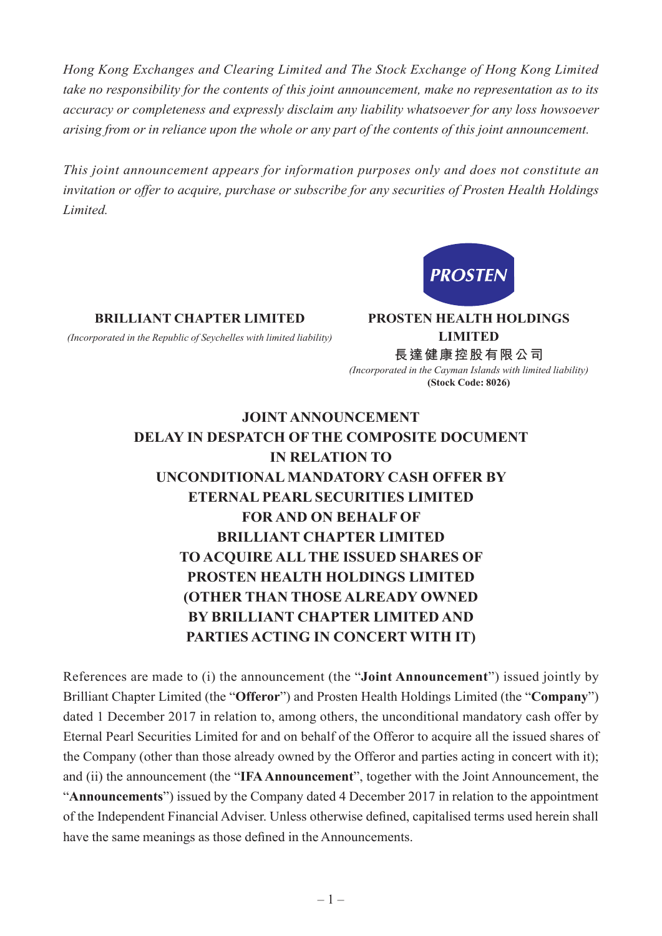*Hong Kong Exchanges and Clearing Limited and The Stock Exchange of Hong Kong Limited take no responsibility for the contents of this joint announcement, make no representation as to its accuracy or completeness and expressly disclaim any liability whatsoever for any loss howsoever arising from or in reliance upon the whole or any part of the contents of this joint announcement.*

*This joint announcement appears for information purposes only and does not constitute an invitation or offer to acquire, purchase or subscribe for any securities of Prosten Health Holdings Limited.*



**BRILLIANT CHAPTER LIMITED PROSTEN HEALTH HOLDINGS** 

*(Incorporated in the Republic of Seychelles with limited liability)* **LIMITED**

**長達健康控股有限公司** *(Incorporated in the Cayman Islands with limited liability)* **(Stock Code: 8026)**

## **JOINT ANNOUNCEMENT DELAY IN DESPATCH OF THE COMPOSITE DOCUMENT IN RELATION TO UNCONDITIONAL MANDATORY CASH OFFER BY ETERNAL PEARL SECURITIES LIMITED FOR AND ON BEHALF OF BRILLIANT CHAPTER LIMITED TO ACQUIRE ALL THE ISSUED SHARES OF PROSTEN HEALTH HOLDINGS LIMITED (OTHER THAN THOSE ALREADY OWNED BY BRILLIANT CHAPTER LIMITED AND PARTIES ACTING IN CONCERT WITH IT)**

References are made to (i) the announcement (the "**Joint Announcement**") issued jointly by Brilliant Chapter Limited (the "**Offeror**") and Prosten Health Holdings Limited (the "**Company**") dated 1 December 2017 in relation to, among others, the unconditional mandatory cash offer by Eternal Pearl Securities Limited for and on behalf of the Offeror to acquire all the issued shares of the Company (other than those already owned by the Offeror and parties acting in concert with it); and (ii) the announcement (the "**IFA Announcement**", together with the Joint Announcement, the "**Announcements**") issued by the Company dated 4 December 2017 in relation to the appointment of the Independent Financial Adviser. Unless otherwise defined, capitalised terms used herein shall have the same meanings as those defined in the Announcements.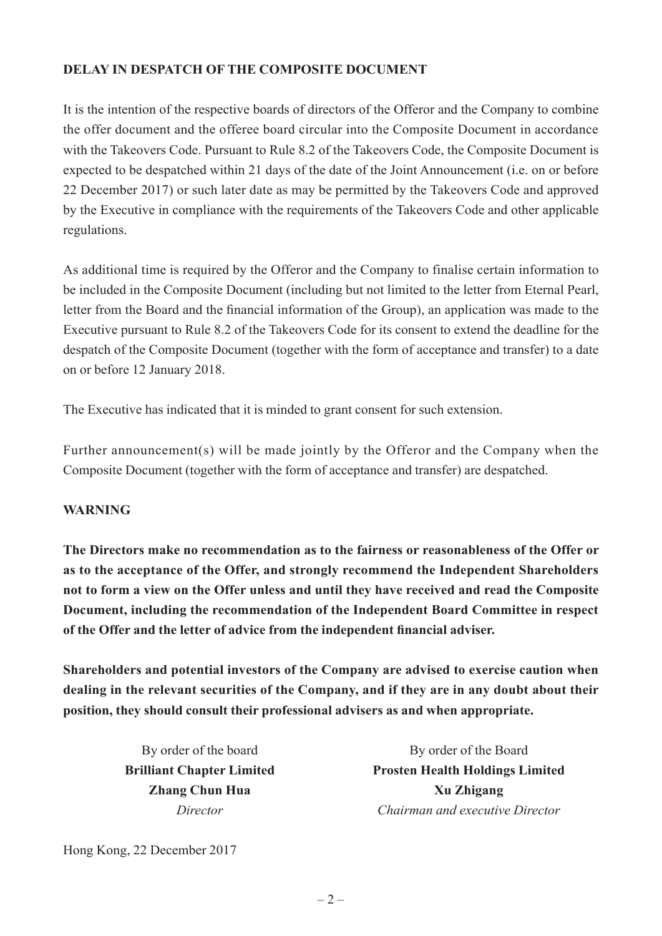## **DELAY IN DESPATCH OF THE COMPOSITE DOCUMENT**

It is the intention of the respective boards of directors of the Offeror and the Company to combine the offer document and the offeree board circular into the Composite Document in accordance with the Takeovers Code. Pursuant to Rule 8.2 of the Takeovers Code, the Composite Document is expected to be despatched within 21 days of the date of the Joint Announcement (i.e. on or before 22 December 2017) or such later date as may be permitted by the Takeovers Code and approved by the Executive in compliance with the requirements of the Takeovers Code and other applicable regulations.

As additional time is required by the Offeror and the Company to finalise certain information to be included in the Composite Document (including but not limited to the letter from Eternal Pearl, letter from the Board and the financial information of the Group), an application was made to the Executive pursuant to Rule 8.2 of the Takeovers Code for its consent to extend the deadline for the despatch of the Composite Document (together with the form of acceptance and transfer) to a date on or before 12 January 2018.

The Executive has indicated that it is minded to grant consent for such extension.

Further announcement(s) will be made jointly by the Offeror and the Company when the Composite Document (together with the form of acceptance and transfer) are despatched.

## **WARNING**

**The Directors make no recommendation as to the fairness or reasonableness of the Offer or as to the acceptance of the Offer, and strongly recommend the Independent Shareholders not to form a view on the Offer unless and until they have received and read the Composite Document, including the recommendation of the Independent Board Committee in respect of the Offer and the letter of advice from the independent financial adviser.**

**Shareholders and potential investors of the Company are advised to exercise caution when dealing in the relevant securities of the Company, and if they are in any doubt about their position, they should consult their professional advisers as and when appropriate.**

By order of the board By order of the Board **Brilliant Chapter Limited Prosten Health Holdings Limited Zhang Chun Hua Xu Zhigang** *Director Chairman and executive Director*

Hong Kong, 22 December 2017